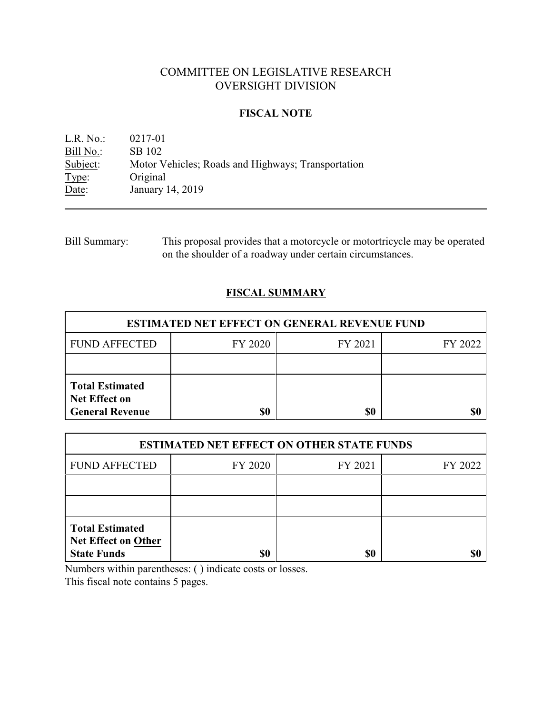# COMMITTEE ON LEGISLATIVE RESEARCH OVERSIGHT DIVISION

### **FISCAL NOTE**

L.R. No.: 0217-01 Bill No.: SB 102<br>Subject: Motor V Subject: Motor Vehicles; Roads and Highways; Transportation Type: Original Original Date: January 14, 2019

Bill Summary: This proposal provides that a motorcycle or motortricycle may be operated on the shoulder of a roadway under certain circumstances.

## **FISCAL SUMMARY**

| <b>ESTIMATED NET EFFECT ON GENERAL REVENUE FUND</b>                      |         |         |         |  |
|--------------------------------------------------------------------------|---------|---------|---------|--|
| <b>FUND AFFECTED</b>                                                     | FY 2020 | FY 2021 | FY 2022 |  |
|                                                                          |         |         |         |  |
| <b>Total Estimated</b><br><b>Net Effect on</b><br><b>General Revenue</b> | \$0     | \$0     |         |  |

| <b>ESTIMATED NET EFFECT ON OTHER STATE FUNDS</b>                           |         |         |         |  |
|----------------------------------------------------------------------------|---------|---------|---------|--|
| <b>FUND AFFECTED</b>                                                       | FY 2020 | FY 2021 | FY 2022 |  |
|                                                                            |         |         |         |  |
|                                                                            |         |         |         |  |
| <b>Total Estimated</b><br><b>Net Effect on Other</b><br><b>State Funds</b> | \$0     | \$0     |         |  |

Numbers within parentheses: ( ) indicate costs or losses.

This fiscal note contains 5 pages.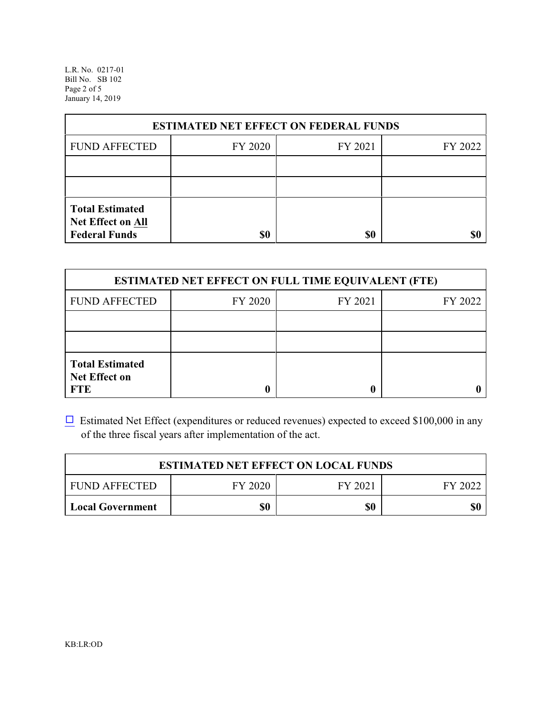L.R. No. 0217-01 Bill No. SB 102 Page 2 of 5 January 14, 2019

| <b>ESTIMATED NET EFFECT ON FEDERAL FUNDS</b>                        |         |         |         |  |  |
|---------------------------------------------------------------------|---------|---------|---------|--|--|
| <b>FUND AFFECTED</b>                                                | FY 2020 | FY 2021 | FY 2022 |  |  |
|                                                                     |         |         |         |  |  |
|                                                                     |         |         |         |  |  |
| <b>Total Estimated</b><br>Net Effect on All<br><b>Federal Funds</b> | \$0     | \$0     |         |  |  |

| <b>ESTIMATED NET EFFECT ON FULL TIME EQUIVALENT (FTE)</b>    |         |         |         |  |
|--------------------------------------------------------------|---------|---------|---------|--|
| <b>FUND AFFECTED</b>                                         | FY 2020 | FY 2021 | FY 2022 |  |
|                                                              |         |         |         |  |
|                                                              |         |         |         |  |
| <b>Total Estimated</b><br><b>Net Effect on</b><br><b>FTE</b> |         |         |         |  |

 $\Box$  Estimated Net Effect (expenditures or reduced revenues) expected to exceed \$100,000 in any of the three fiscal years after implementation of the act.

| <b>ESTIMATED NET EFFECT ON LOCAL FUNDS</b> |         |         |         |
|--------------------------------------------|---------|---------|---------|
| <b>FUND AFFECTED</b>                       | FY 2020 | FY 2021 | FY 2022 |
| <b>Local Government</b>                    | \$0     | \$0     | \$0     |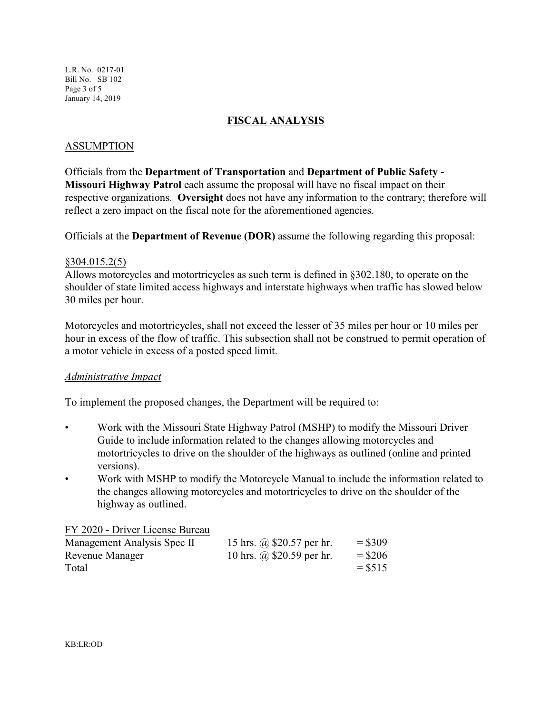### **FISCAL ANALYSIS**

### ASSUMPTION

Officials from the **Department of Transportation** and **Department of Public Safety - Missouri Highway Patrol** each assume the proposal will have no fiscal impact on their respective organizations. **Oversight** does not have any information to the contrary; therefore will reflect a zero impact on the fiscal note for the aforementioned agencies.

Officials at the **Department of Revenue (DOR)** assume the following regarding this proposal:

## §304.015.2(5)

Allows motorcycles and motortricycles as such term is defined in §302.180, to operate on the shoulder of state limited access highways and interstate highways when traffic has slowed below 30 miles per hour.

Motorcycles and motortricycles, shall not exceed the lesser of 35 miles per hour or 10 miles per hour in excess of the flow of traffic. This subsection shall not be construed to permit operation of a motor vehicle in excess of a posted speed limit.

#### *Administrative Impact*

To implement the proposed changes, the Department will be required to:

- Work with the Missouri State Highway Patrol (MSHP) to modify the Missouri Driver Guide to include information related to the changes allowing motorcycles and motortricycles to drive on the shoulder of the highways as outlined (online and printed versions).
- Work with MSHP to modify the Motorcycle Manual to include the information related to the changes allowing motorcycles and motortricycles to drive on the shoulder of the highway as outlined.

#### FY 2020 - Driver License Bureau

| Management Analysis Spec II | 15 hrs. @ \$20.57 per hr. | $=$ \$309 |
|-----------------------------|---------------------------|-----------|
| Revenue Manager             | 10 hrs. @ \$20.59 per hr. | $=$ \$206 |
| Total                       |                           | $=$ \$515 |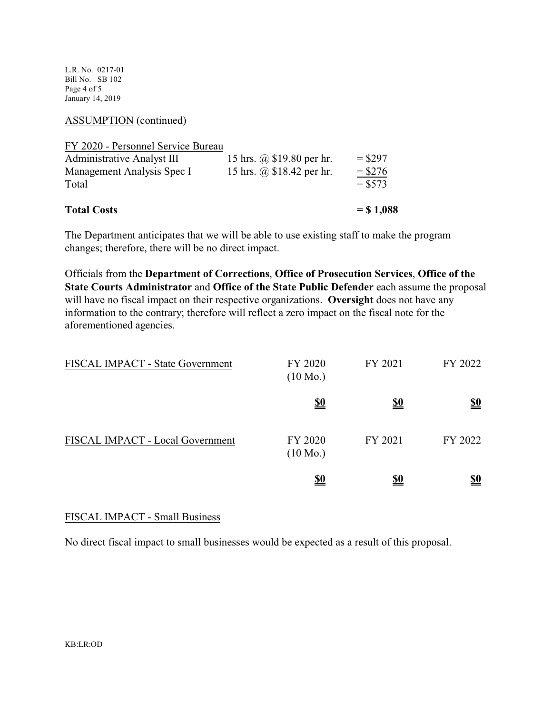L.R. No. 0217-01 Bill No. SB 102 Page 4 of 5 January 14, 2019

ASSUMPTION (continued)

| <b>Total Costs</b>                  |                           | $=$ \$1,088            |
|-------------------------------------|---------------------------|------------------------|
| Management Analysis Spec I<br>Total | 15 hrs. @ \$18.42 per hr. | $=$ \$276<br>$=$ \$573 |
| <b>Administrative Analyst III</b>   | 15 hrs. @ \$19.80 per hr. | $=$ \$297              |
| FY 2020 - Personnel Service Bureau  |                           |                        |

The Department anticipates that we will be able to use existing staff to make the program changes; therefore, there will be no direct impact.

Officials from the **Department of Corrections**, **Office of Prosecution Services**, **Office of the State Courts Administrator** and **Office of the State Public Defender** each assume the proposal will have no fiscal impact on their respective organizations. **Oversight** does not have any information to the contrary; therefore will reflect a zero impact on the fiscal note for the aforementioned agencies.

| FISCAL IMPACT - State Government | FY 2020<br>$(10 \text{ Mo.})$ | FY 2021    | FY 2022    |
|----------------------------------|-------------------------------|------------|------------|
|                                  | <u>\$0</u>                    | <u>\$0</u> | <u>\$0</u> |
| FISCAL IMPACT - Local Government | FY 2020<br>$(10 \text{ Mo.})$ | FY 2021    | FY 2022    |
|                                  | <u>\$0</u>                    | <u>\$0</u> | <u>\$0</u> |

## FISCAL IMPACT - Small Business

No direct fiscal impact to small businesses would be expected as a result of this proposal.